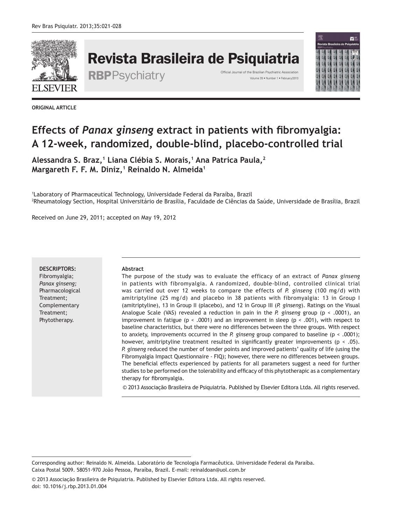

# Revista Brasileira de Psiquiatria

RBPPSychiatry <sup>Official Journal of the Brazilian Psychiatric Association</sup>



**ORIGINAL ARTICLE**

# **Effects of** *Panax ginseng* **extract in patients with fibromyalgia: A 12-week, randomized, double-blind, placebo-controlled trial**

**Alessandra S. Braz,<sup>1</sup> Liana Clébia S. Morais,<sup>1</sup> Ana Patríca Paula,<sup>2</sup> Margareth F. F. M. Diniz,<sup>1</sup> Reinaldo N. Almeida<sup>1</sup>**

1 Laboratory of Pharmaceutical Technology, Universidade Federal da Paraíba, Brazil 2 Rheumatology Section, Hospital Universitário de Brasília, Faculdade de Ciências da Saúde, Universidade de Brasília, Brazil

Received on June 29, 2011; accepted on May 19, 2012

#### **DESCRIPTORS:**

Fibromyalgia; *Panax ginseng;*  Pharmacological Treatment; Complementary Treatment; Phytotherapy.

#### **Abstract**

The purpose of the study was to evaluate the efficacy of an extract of *Panax ginseng* in patients with fibromyalgia. A randomized, double-blind, controlled clinical trial was carried out over 12 weeks to compare the effects of *P. ginseng* (100 mg/d) with amitriptyline (25 mg/d) and placebo in 38 patients with fibromyalgia: 13 in Group I (amitriptyline), 13 in Group II (placebo), and 12 in Group III (*P. ginseng*). Ratings on the Visual Analogue Scale (VAS) revealed a reduction in pain in the *P. ginseng* group (p < .0001), an improvement in fatigue ( $p < .0001$ ) and an improvement in sleep ( $p < .001$ ), with respect to baseline characteristics, but there were no differences between the three groups. With respect to anxiety, improvements occurred in the *P. ginseng* group compared to baseline (p < .0001); however, amitriptyline treatment resulted in significantly greater improvements ( $p < .05$ ). *P. ginseng* reduced the number of tender points and improved patients' quality of life (using the Fibromyalgia Impact Questionnaire - FIQ); however, there were no differences between groups. The beneficial effects experienced by patients for all parameters suggest a need for further studies to be performed on the tolerability and efficacy of this phytotherapic as a complementary therapy for fibromyalgia.

© 2013 Associação Brasileira de Psiquiatria. Published by Elsevier Editora Ltda. All rights reserved.

Corresponding author: Reinaldo N. Almeida. Laboratório de Tecnologia Farmacêutica. Universidade Federal da Paraíba. Caixa Postal 5009. 58051-970 João Pessoa, Paraíba, Brazil. E-mail: reinaldoan@uol.com.br

<sup>© 2013</sup> Associação Brasileira de Psiquiatria. Published by Elsevier Editora Ltda. All rights reserved. doi: 10.1016/j.rbp.2013.01.004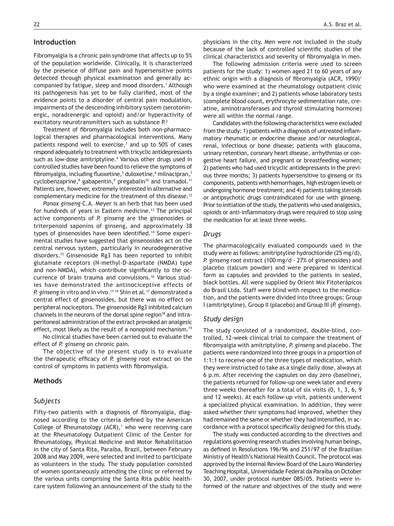# **Introduction**

Fibromyalgia is a chronic pain syndrome that affects up to 5% of the population worldwide. Clinically, it is characterized by the presence of diffuse pain and hypersensitive points detected through physical examination and generally accompanied by fatigue, sleep and mood disorders.<sup>1</sup> Although its pathogenesis has yet to be fully clarified, most of the evidence points to a disorder of central pain modulation, impairments of the descending inhibitory system (serotoninergic, noradrenergic and opioid) and/or hyperactivity of excitatory neurotransmitters such as substance P.<sup>2</sup>

Treatment of fibromyalgia includes both non-pharmacological therapies and pharmacological interventions. Many patients respond well to exercise, $3$  and up to 50% of cases respond adequately to treatment with tricyclic antidepressants such as low-dose amitriptyline.<sup>4</sup> Various other drugs used in controlled studies have been found to relieve the symptoms of fibromyalgia, including fluoxetine,<sup>5</sup> duloxetine,<sup>6</sup> milnacipran,<sup>7</sup> cyclobenzaprine,<sup>8</sup> gabapentin,<sup>9</sup> pregabalin<sup>10</sup> and tramadol.<sup>11</sup> Patients are, however, extremely interested in alternative and complementary medicine for the treatment of this disease.<sup>12</sup>

*Panax ginseng* C.A. Meyer is an herb that has been used for hundreds of years in Eastern medicine.<sup>13</sup> The principal active components of *P. ginseng* are the ginsenosides or triterpenoid saponins of ginseng, and approximately 38 types of ginsenosides have been identified.14 Some experimental studies have suggested that ginsenosides act on the central nervous system, particularly in neurodegenerative disorders.15 Ginsenoside Rg3 has been reported to inhibit glutamate receptors (N-methyl-D-aspartate (NMDA) type and non-NMDA), which contribute significantly to the occurrence of brain trauma and convulsions.16 Various studies have demonstrated the antinociceptive effects of *P. ginseng* in vitro and in vivo.<sup>17-19</sup> Shin et al.<sup>17</sup> demonstrated a central effect of ginsenosides, but there was no effect on peripheral nociceptors. The ginsenoside Rg3 inhibited calcium channels in the neurons of the dorsal spine region<sup>18</sup> and intraperitoneal administration of the extract provoked an analgesic effect, most likely as the result of a nonopioid mechanism.<sup>19</sup>

No clinical studies have been carried out to evaluate the effect of *P. ginseng* on chronic pain.

The objective of the present study is to evaluate the therapeutic efficacy of *P. ginseng* root extract on the control of symptoms in patients with fibromyalgia.

# **Methods**

## *Subjects*

Fifty-two patients with a diagnosis of fibromyalgia, diagnosed according to the criteria defined by the American College of Rheumatology  $(ACR)$ ,<sup>1</sup> who were receiving care at the Rheumatology Outpatient Clinic of the Center for Rheumatology, Physical Medicine and Motor Rehabilitation in the city of Santa Rita, Paraíba, Brazil, between February 2008 and May 2009, were selected and invited to participate as volunteers in the study. The study population consisted of women spontaneously attending the clinic or referred by the various units comprising the Santa Rita public healthcare system following an announcement of the study to the

physicians in the city. Men were not included in the study because of the lack of controlled scientific studies of the clinical characteristics and severity of fibromyalgia in men.

The following admission criteria were used to screen patients for the study: 1) women aged 21 to 60 years of any ethnic origin with a diagnosis of fibromyalgia (ACR, 1990)<sup>1</sup> who were examined at the rheumatology outpatient clinic by a single examiner; and 2) patients whose laboratory tests (complete blood count, erythrocyte sedimentation rate, creatine, aminotransferases and thyroid stimulating hormone) were all within the normal range.

Candidates with the following characteristics were excluded from the study: 1) patients with a diagnosis of untreated inflammatory rheumatic or endocrine disease and/or neurological, renal, infectious or bone disease; patients with glaucoma, urinary retention, coronary heart disease, arrhythmias or congestive heart failure, and pregnant or breastfeeding women; 2) patients who had used tricyclic antidepressants in the previous three months; 3) patients hypersensitive to ginseng or its components, patients with hemorrhages, high estrogen levels or undergoing hormone treatment; and 4) patients taking steroids or antipsychotic drugs contraindicated for use with ginseng. Prior to initiation of the study, the patients who used analgesics, opioids or anti-inflammatory drugs were required to stop using the medication for at least three weeks.

### *Drugs*

The pharmacologically evaluated compounds used in the study were as follows: amitriptyline hydrochloride (25 mg/d), *P. ginseng* root extract (100 mg/d - 27% of ginsenosides) and placebo (talcum powder) and were prepared in identical form as capsules and provided to the patients in sealed, black bottles. All were supplied by Orient Mix Fitoterápicos do Brasil Ltda. Staff were blind with respect to the medication, and the patients were divided into three groups: Group I (amitriptyline), Group II (placebo) and Group III (*P. ginseng*).

#### *Study design*

The study consisted of a randomized, double-blind, controlled, 12-week clinical trial to compare the treatment of fibromyalgia with amitriptyline, *P. ginseng* and placebo. The patients were randomized into three groups in a proportion of 1:1:1 to receive one of the three types of medication, which they were instructed to take as a single daily dose, always at 6 p.m. After receiving the capsules on day zero (baseline), the patients returned for follow-up one week later and every three weeks thereafter for a total of six visits (0, 1, 3, 6, 9 and 12 weeks). At each follow-up visit, patients underwent a specialized physical examination. In addition, they were asked whether their symptoms had improved, whether they had remained the same or whether they had intensified, in accordance with a protocol specifically designed for this study.

The study was conducted according to the directives and regulations governing research studies involving human beings, as defined in Resolutions 196/96 and 251/97 of the Brazilian Ministry of Health's National Health Council. The protocol was approved by the Internal Review Board of the Lauro Wanderley Teaching Hospital, Universidade Federal da Paraíba on October 30, 2007, under protocol number 085/05. Patients were informed of the nature and objectives of the study and were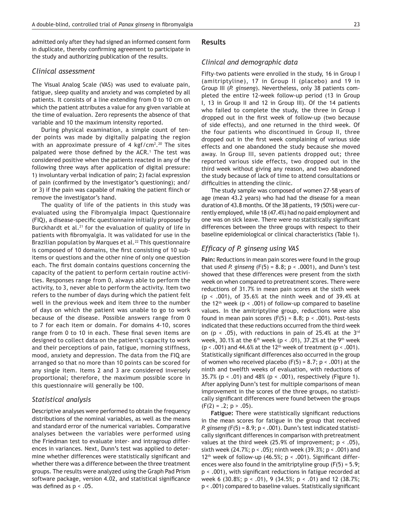admitted only after they had signed an informed consent form in duplicate, thereby confirming agreement to participate in the study and authorizing publication of the results.

### *Clinical assessment*

The Visual Analog Scale (VAS) was used to evaluate pain, fatigue, sleep quality and anxiety and was completed by all patients. It consists of a line extending from 0 to 10 cm on which the patient attributes a value for any given variable at the time of evaluation. Zero represents the absence of that variable and 10 the maximum intensity reported.

During physical examination, a simple count of tender points was made by digitally palpating the region with an approximate pressure of 4 kgf/cm<sup>2</sup>.<sup>20</sup> The sites palpated were those defined by the ACR.<sup>1</sup> The test was considered positive when the patients reacted in any of the following three ways after application of digital pressure: 1) involuntary verbal indication of pain; 2) facial expression of pain (confirmed by the investigator's questioning); and/ or 3) if the pain was capable of making the patient flinch or remove the investigator's hand.

The quality of life of the patients in this study was evaluated using the Fibromyalgia Impact Questionnaire (FIQ), a disease-specific questionnaire initially proposed by Burckhardt et al. $21$  for the evaluation of quality of life in patients with fibromyalgia. It was validated for use in the Brazilian population by Marques et al.<sup>22</sup> This questionnaire is composed of 10 domains, the first consisting of 10 subitems or questions and the other nine of only one question each. The first domain contains questions concerning the capacity of the patient to perform certain routine activities. Responses range from 0, always able to perform the activity, to 3, never able to perform the activity. Item two refers to the number of days during which the patient felt well in the previous week and item three to the number of days on which the patient was unable to go to work because of the disease. Possible answers range from 0 to 7 for each item or domain. For domains 4-10, scores range from 0 to 10 in each. These final seven items are designed to collect data on the patient's capacity to work and their perceptions of pain, fatigue, morning stiffness, mood, anxiety and depression. The data from the FIQ are arranged so that no more than 10 points can be scored for any single item. Items 2 and 3 are considered inversely proportional; therefore, the maximum possible score in this questionnaire will generally be 100.

# *Statistical analysis*

Descriptive analyses were performed to obtain the frequency distributions of the nominal variables, as well as the means and standard error of the numerical variables. Comparative analyses between the variables were performed using the Friedman test to evaluate inter- and intragroup differences in variances. Next, Dunn's test was applied to determine whether differences were statistically significant and whether there was a difference between the three treatment groups. The results were analyzed using the Graph Pad Prism software package, version 4.02, and statistical significance was defined as p < .05.

# **Results**

### *Clinical and demographic data*

Fifty-two patients were enrolled in the study, 16 in Group I (amitriptyline), 17 in Group II (placebo) and 19 in Group III (*P. ginseng*). Nevertheless, only 38 patients completed the entire 12-week follow-up period (13 in Group I, 13 in Group II and 12 in Group III). Of the 14 patients who failed to complete the study, the three in Group I dropped out in the first week of follow-up (two because of side effects), and one returned in the third week. Of the four patients who discontinued in Group II, three dropped out in the first week complaining of various side effects and one abandoned the study because she moved away. In Group III, seven patients dropped out; three reported various side effects, two dropped out in the third week without giving any reason, and two abandoned the study because of lack of time to attend consultations or difficulties in attending the clinic.

The study sample was composed of women 27-58 years of age (mean 43.2 years) who had had the disease for a mean duration of 43.8 months. Of the 38 patients, 19 (50%) were currently employed, while 18 (47.4%) had no paid employment and one was on sick leave. There were no statistically significant differences between the three groups with respect to their baseline epidemiological or clinical characteristics (Table 1).

# *Efficacy of P. ginseng using VAS*

**Pain:** Reductions in mean pain scores were found in the group that used *P. ginseng* (F(5) = 8.8; p < .0001), and Dunn's test showed that these differences were present from the sixth week on when compared to pretreatment scores. There were reductions of 31.7% in mean pain scores at the sixth week (p < .001), of 35.6% at the ninth week and of 39.4% at the 12<sup>th</sup> week ( $p < .001$ ) of follow-up compared to baseline values. In the amitriptyline group, reductions were also found in mean pain scores  $(F(5) = 8.8; p < .001)$ . Post-tests indicated that these reductions occurred from the third week on (p < .05), with reductions in pain of 25.4% at the  $3^{rd}$ week, 30.1% at the  $6<sup>th</sup>$  week (p < .01), 37.2% at the 9<sup>th</sup> week  $(p < .001)$  and 44.6% at the 12<sup>th</sup> week of treatment  $(p < .001)$ . Statistically significant differences also occurred in the group of women who received placebo  $(F(5) = 8.7; p < .001)$  at the ninth and twelfth weeks of evaluation, with reductions of 35.7% ( $p < .01$ ) and 48% ( $p < .001$ ), respectively (Figure 1). After applying Dunn's test for multiple comparisons of mean improvement in the scores of the three groups, no statistically significant differences were found between the groups  $(F(2) = .2; p > .05)$ .

**Fatigue:** There were statistically significant reductions in the mean scores for fatigue in the group that received *P. ginseng* (F(5) = 8.9; p < .001). Dunn's test indicated statistically significant differences in comparison with pretreatment values at the third week (25.9% of improvement;  $p < .05$ ), sixth week (24.7%; p < .05); ninth week (39.3%; p < .001) and 12<sup>th</sup> week of follow-up (46.5%;  $p < .001$ ). Significant differences were also found in the amitriptyline group  $(F(5) = 5.9)$ ; p < .001), with significant reductions in fatigue recorded at week 6 (30.8%; p < .01), 9 (34.5%; p < .01) and 12 (38.7%; p < .001) compared to baseline values. Statistically significant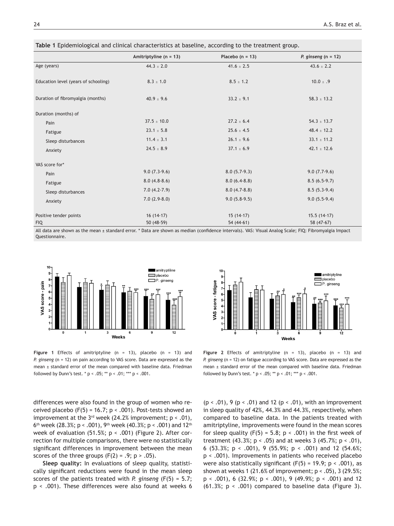|                                      | Amitriptyline ( $n = 13$ ) | Placebo ( $n = 13$ ) | P. ginseng $(n = 12)$ |
|--------------------------------------|----------------------------|----------------------|-----------------------|
| Age (years)                          | $44.3 \pm 2.0$             | $41.6 \pm 2.5$       | $43.6 \pm 2.2$        |
| Education level (years of schooling) | $8.3 \pm 1.0$              | $8.5 \pm 1.2$        | 10.0 $\pm$ .9         |
| Duration of fibromyalgia (months)    | $40.9 \pm 9.6$             | $33.2 \pm 9.1$       | $58.3 \pm 13.2$       |
| Duration (months) of                 |                            |                      |                       |
| Pain                                 | $37.5 \pm 10.0$            | $27.2 \pm 6.4$       | $54.3 \pm 13.7$       |
| Fatigue                              | $23.1 \pm 5.8$             | $25.6 \pm 4.5$       | $48.4 \pm 12.2$       |
| Sleep disturbances                   | $11.4 \pm 3.1$             | $26.1 \pm 9.6$       | $33.1 \pm 11.2$       |
| Anxiety                              | $24.5 \pm 8.9$             | $37.1 \pm 6.9$       | $42.1 \pm 12.6$       |
| VAS score for*                       |                            |                      |                       |
| Pain                                 | $9.0(7.3-9.6)$             | $8.0(5.7-9.3)$       | $9.0(7.7-9.6)$        |
| Fatigue                              | $8.0(4.8-8.6)$             | $8.0(6.4-8.8)$       | $8.5(6.5-9.7)$        |
| Sleep disturbances                   | $7.0(4.2-7.9)$             | $8.0(4.7-8.8)$       | $8.5(5.3-9.4)$        |
| Anxiety                              | $7.0(2.9-8.0)$             | $9.0(5.8-9.5)$       | $9.0(5.5-9.4)$        |
| Positive tender points               | $16(14-17)$                | $15(14-17)$          | $15.5(14-17)$         |
| <b>FIQ</b>                           | $50(48-59)$                | $54(44-61)$          | 58 (47-67)            |

**Table 1** Epidemiological and clinical characteristics at baseline, according to the treatment group.

All data are shown as the mean ± standard error. \* Data are shown as median (confidence intervals). VAS: Visual Analog Scale; FIQ: Fibromyalgia Impact Questionnaire.



**Figure 1** Effects of amitriptyline (n = 13), placebo (n = 13) and *P. ginseng* (n = 12) on pain according to VAS score. Data are expressed as the mean ± standard error of the mean compared with baseline data. Friedman followed by Dunn's test. \*  $p < .05$ ; \*\*  $p < .01$ ; \*\*\*  $p < .001$ .

differences were also found in the group of women who received placebo (F(5) = 16.7;  $p < .001$ ). Post-tests showed an improvement at the  $3^{rd}$  week (24.2% improvement;  $p < .01$ ), 6<sup>th</sup> week (28.3%; p < .001), 9<sup>th</sup> week (40.3%; p < .001) and 12<sup>th</sup> week of evaluation (51.5%; p < .001) (Figure 2). After correction for multiple comparisons, there were no statistically significant differences in improvement between the mean scores of the three groups  $(F(2) = .9; p > .05)$ .

**Sleep quality:** In evaluations of sleep quality, statistically significant reductions were found in the mean sleep scores of the patients treated with *P. ginseng* (F(5) = 5.7; p < .001). These differences were also found at weeks 6



**Figure 2** Effects of amitriptyline (n = 13), placebo (n = 13) and *P. ginseng* (n = 12) on fatigue according to VAS score. Data are expressed as the mean ± standard error of the mean compared with baseline data. Friedman followed by Dunn's test. \*  $p < .05$ ; \*\*  $p < .01$ ; \*\*\*  $p < .001$ .

 $(p < .01)$ , 9  $(p < .01)$  and 12  $(p < .01)$ , with an improvement in sleep quality of 42%, 44.3% and 44.3%, respectively, when compared to baseline data. In the patients treated with amitriptyline, improvements were found in the mean scores for sleep quality (F(5) = 5.8;  $p < .001$ ) in the first week of treatment (43.3%;  $p < .05$ ) and at weeks 3 (45.7%;  $p < .01$ ), 6 (53.3%;  $p < .001$ ), 9 (55.9%;  $p < .001$ ) and 12 (54.6%; p < .001). Improvements in patients who received placebo were also statistically significant (F(5) = 19.9;  $p < .001$ ), as shown at weeks 1 (21.6% of improvement; p < .05), 3 (29.5%;  $p \lt 0.001$ , 6 (32.9%;  $p \lt 0.001$ ), 9 (49.9%;  $p \lt 0.001$ ) and 12 (61.3%;  $p \le 0.001$ ) compared to baseline data (Figure 3).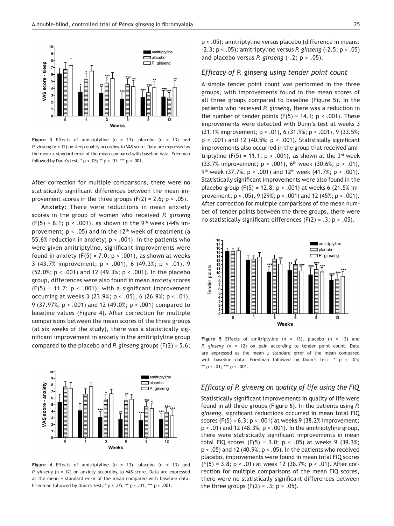

**Figure 3** Effects of amitriptyline (n = 13), placebo (n = 13) and *P. ginseng* (n = 12) on sleep quality according to VAS score. Data are expressed as the mean ± standard error of the mean compared with baseline data. Friedman followed by Dunn's test. \*  $p < .05$ ; \*\*  $p < .01$ ; \*\*\*  $p < .001$ .

After correction for multiple comparisons, there were no statistically significant differences between the mean improvement scores in the three groups  $(F(2) = 2.6; p > .05)$ .

**Anxiety:** There were reductions in mean anxiety scores in the group of women who received *P. ginseng* (F(5) = 8.1; p < .001), as shown in the 9<sup>th</sup> week (44% improvement;  $p < .05$ ) and in the 12<sup>th</sup> week of treatment (a 55.6% reduction in anxiety;  $p < .001$ ). In the patients who were given amitriptyline, significant improvements were found in anxiety (F(5) = 7.0;  $p < .001$ ), as shown at weeks 3 (43.7% improvement; p < .001), 6 (49.3%; p < .01), 9 (52.0%; p < .001) and 12 (49.3%; p < .001). In the placebo group, differences were also found in mean anxiety scores  $(F(5) = 11.7; p < .001)$ , with a significant improvement occurring at weeks 3 (23.9%; p < .05), 6 (26.9%; p < .01), 9 (37.97%; p < .001) and 12 (49.0%; p < .001) compared to baseline values (Figure 4). After correction for multiple comparisons between the mean scores of the three groups (at six weeks of the study), there was a statistically significant improvement in anxiety in the amitriptyline group compared to the placebo and *P. ginseng* groups (F(2) = 5.6;



**Figure 4** Effects of amitriptyline (n = 13), placebo (n = 13) and *P. ginseng* (n = 12) on anxiety according to VAS score. Data are expressed as the mean  $\pm$  standard error of the mean compared with baseline data. Friedman followed by Dunn's test. \*  $p < .05$ ; \*\*  $p < .01$ ; \*\*\*  $p < .001$ .

p < .05): amitriptyline versus placebo (difference in means: -2.3; p < .05); amitriptyline versus *P. ginseng* (-2.5; p < .05) and placebo versus *P. ginseng* (-.2; p > .05).

# *Efficacy of* P. ginseng *using tender point count*

A simple tender point count was performed in the three groups, with improvements found in the mean scores of all three groups compared to baseline (Figure 5). In the patients who received *P. ginseng*, there was a reduction in the number of tender points  $(F(5) = 14.1; p < .001)$ . These improvements were detected with Dunn's test at weeks 3 (21.1% improvement; p < .01), 6 (31.9%; p < .001), 9 (33.5%; p < .001) and 12 (40.5%; p < .001). Statistically significant improvements also occurred in the group that received amitriptyline (F(5) = 11.1;  $p < .001$ ), as shown at the 3<sup>rd</sup> week (33.7% improvement;  $p < .001$ ), 6<sup>th</sup> week (30.6%;  $p < .01$ ), 9<sup>th</sup> week (37.7%; p < .001) and 12<sup>th</sup> week (41.7%; p < .001). Statistically significant improvements were also found in the placebo group  $(F(5) = 12.8; p < .001)$  at weeks 6  $(21.5%$  improvement; p < .05), 9 (29%; p < .001) and 12 (45%; p < .001). After correction for multiple comparisons of the mean number of tender points between the three groups, there were no statistically significant differences ( $F(2) = .3$ ; p > .05).



**Figure 5** Effects of amitriptyline (n = 13), placebo (n = 13) and *P. ginseng* (n = 12) on pain according to tender point count. Data are expressed as the mean  $\pm$  standard error of the mean compared with baseline data. Friedman followed by Dunn's test. \*  $p \le .05$ ; \*\*  $p < .01$ ; \*\*\*  $p < .001$ .

# *Efficacy of P. ginseng on quality of life using the FIQ*

Statistically significant improvements in quality of life were found in all three groups (Figure 6). In the patients using *P. ginseng*, significant reductions occurred in mean total FIQ scores (F(5) =  $6.3$ ;  $p < .001$ ) at weeks 9 (38.2% improvement;  $p < .01$ ) and 12 (48.3%;  $p < .001$ ). In the amitriptyline group, there were statistically significant improvements in mean total FIQ scores (F(5) = 3.0;  $p < .05$ ) at weeks 9 (39.3%;  $p < .05$ ) and 12 (40.9%;  $p < .05$ ). In the patients who received placebo, improvements were found in mean total FIQ scores  $(F(5) = 3.8; p < .01)$  at week 12 (38.7%; p < .01). After correction for multiple comparisons of the mean FIQ scores, there were no statistically significant differences between Figure 5 Effects of amitriplyline (n = 1<br>
P. ginseng (n = 12) on pain according to<br>
P. ginseng (n = 12) on pain according to<br>
with baseline data. Friedman followed by<br>
are expressed as the mean  $\pm$  standard error<br>
with b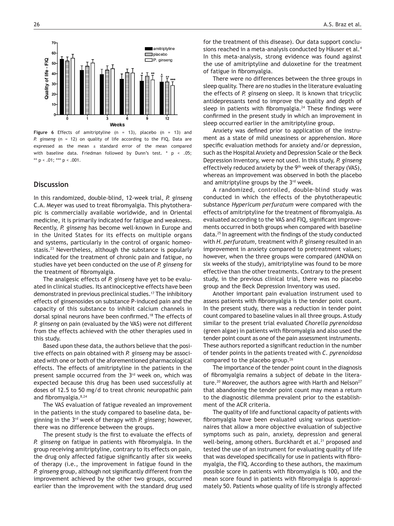

**Figure 6** Effects of amitriptyline (n = 13), placebo (n = 13) and *P. ginseng* (n = 12) on quality of life according to the FIQ. Data are expressed as the mean ± standard error of the mean compared with baseline data. Friedman followed by Dunn's test. \* p < .05; \*\*  $p < .01$ ; \*\*\*  $p < .001$ .

# **Discussion**

In this randomized, double-blind, 12-week trial, *P. ginseng* C.A. Meyer was used to treat fibromyalgia. This phytotherapic is commercially available worldwide, and in Oriental medicine, it is primarily indicated for fatigue and weakness. Recently, *P. ginseng* has become well-known in Europe and in the United States for its effects on multiple organs and systems, particularly in the control of organic homeostasis.23 Nevertheless, although the substance is popularly indicated for the treatment of chronic pain and fatigue, no studies have yet been conducted on the use of *P. ginseng* for the treatment of fibromyalgia.

The analgesic effects of *P. ginseng* have yet to be evaluated in clinical studies. Its antinociceptive effects have been demonstrated in previous preclinical studies.<sup>17</sup> The inhibitory effects of ginsenosides on substance P-induced pain and the capacity of this substance to inhibit calcium channels in dorsal spinal neurons have been confirmed.18 The effects of *P. ginseng* on pain (evaluated by the VAS) were not different from the effects achieved with the other therapies used in this study.

Based upon these data, the authors believe that the positive effects on pain obtained with *P. ginseng* may be associated with one or both of the aforementioned pharmacological effects. The effects of amitriptyline in the patients in the present sample occurred from the 3<sup>rd</sup> week on, which was expected because this drug has been used successfully at doses of 12.5 to 50 mg/d to treat chronic neuropathic pain and fibromyalgia.8,24

The VAS evaluation of fatigue revealed an improvement in the patients in the study compared to baseline data, beginning in the 3rd week of therapy with *P. ginseng*; however, there was no difference between the groups.

The present study is the first to evaluate the effects of *P. ginseng* on fatigue in patients with fibromyalgia. In the group receiving amitriptyline, contrary to its effects on pain, the drug only affected fatigue significantly after six weeks of therapy (i.e., the improvement in fatigue found in the *P. ginseng* group, although not significantly different from the improvement achieved by the other two groups, occurred earlier than the improvement with the standard drug used for the treatment of this disease). Our data support conclusions reached in a meta-analysis conducted by Häuser et al.<sup>4</sup> In this meta-analysis, strong evidence was found against the use of amitriptyline and duloxetine for the treatment of fatigue in fibromyalgia.

There were no differences between the three groups in sleep quality. There are no studies in the literature evaluating the effects of *P. ginseng* on sleep. It is known that tricyclic antidepressants tend to improve the quality and depth of sleep in patients with fibromyalgia.<sup>24</sup> These findings were confirmed in the present study in which an improvement in sleep occurred earlier in the amitriptyline group.

Anxiety was defined prior to application of the instrument as a state of mild uneasiness or apprehension. More specific evaluation methods for anxiety and/or depression, such as the Hospital Anxiety and Depression Scale or the Beck Depression Inventory, were not used. In this study, *P. ginseng* effectively reduced anxiety by the 9<sup>th</sup> week of therapy (VAS), whereas an improvement was observed in both the placebo and amitriptyline groups by the 3<sup>rd</sup> week.

A randomized, controlled, double-blind study was conducted in which the effects of the phytotherapeutic substance *Hypericum perfuratum* were compared with the effects of amitriptyline for the treatment of fibromyalgia. As evaluated according to the VAS and FIQ, significant improvements occurred in both groups when compared with baseline data.25 In agreement with the findings of the study conducted with *H. perfuratum*, treatment with *P. ginseng* resulted in an improvement in anxiety compared to pretreatment values; however, when the three groups were compared (ANOVA on six weeks of the study), amitriptyline was found to be more effective than the other treatments. Contrary to the present study, in the previous clinical trial, there was no placebo group and the Beck Depression Inventory was used.

Another important pain evaluation instrument used to assess patients with fibromyalgia is the tender point count. In the present study, there was a reduction in tender point count compared to baseline values in all three groups. A study similar to the present trial evaluated *Chorella pyrenoidosa* (green algae) in patients with fibromyalgia and also used the tender point count as one of the pain assessment instruments. These authors reported a significant reduction in the number of tender points in the patients treated with *C. pyrenoidosa* compared to the placebo group.26

The importance of the tender point count in the diagnosis of fibromyalgia remains a subject of debate in the literature.<sup>20</sup> Moreover, the authors agree with Harth and Nelson<sup>27</sup> that abandoning the tender point count may mean a return to the diagnostic dilemma prevalent prior to the establishment of the ACR criteria.

The quality of life and functional capacity of patients with fibromyalgia have been evaluated using various questionnaires that allow a more objective evaluation of subjective symptoms such as pain, anxiety, depression and general well-being, among others. Burckhardt et al.<sup>21</sup> proposed and tested the use of an instrument for evaluating quality of life that was developed specifically for use in patients with fibromyalgia, the FIQ. According to these authors, the maximum possible score in patients with fibromyalgia is 100, and the mean score found in patients with fibromyalgia is approximately 50. Patients whose quality of life is strongly affected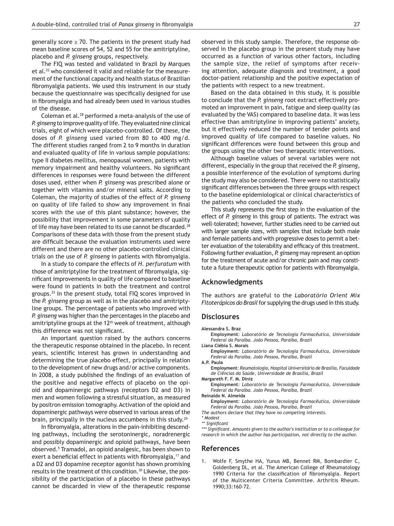generally score  $\geq$  70. The patients in the present study had mean baseline scores of 54, 52 and 55 for the amitriptyline, placebo and *P. ginseng* groups, respectively.

The FIQ was tested and validated in Brazil by Marques et al.22 who considered it valid and reliable for the measurement of the functional capacity and health status of Brazilian fibromyalgia patients. We used this instrument in our study because the questionnaire was specifically designed for use in fibromyalgia and had already been used in various studies of the disease.

Coleman et al.28 performed a meta-analysis of the use of *P. ginseng* to improve quality of life. They evaluated nine clinical trials, eight of which were placebo-controlled. Of these, the doses of *P. ginseng* used varied from 80 to 400 mg/d. The different studies ranged from 2 to 9 months in duration and evaluated quality of life in various sample populations: type II diabetes mellitus, menopausal women, patients with memory impairment and healthy volunteers. No significant differences in responses were found between the different doses used, either when *P. ginseng* was prescribed alone or together with vitamins and/or mineral salts. According to Coleman, the majority of studies of the effect of *P. ginseng* on quality of life failed to show any improvement in final scores with the use of this plant substance; however, the possibility that improvement in some parameters of quality of life may have been related to its use cannot be discarded.<sup>28</sup> Comparisons of these data with those from the present study are difficult because the evaluation instruments used were different and there are no other placebo-controlled clinical trials on the use of *P. ginseng* in patients with fibromyalgia.

In a study to compare the effects of *H. perfuratum* with those of amitriptyline for the treatment of fibromyalgia, significant improvements in quality of life compared to baseline were found in patients in both the treatment and control groups.25 In the present study, total FIQ scores improved in the *P. ginseng* group as well as in the placebo and amitriptyline groups. The percentage of patients who improved with *P. ginseng* was higher than the percentages in the placebo and amitriptyline groups at the 12<sup>th</sup> week of treatment, although this difference was not significant.

An important question raised by the authors concerns the therapeutic response obtained in the placebo. In recent years, scientific interest has grown in understanding and determining the true placebo effect, principally in relation to the development of new drugs and/or active components. In 2008, a study published the findings of an evaluation of the positive and negative effects of placebo on the opioid and dopaminergic pathways (receptors D2 and D3) in men and women following a stressful situation, as measured by positron emission tomography. Activation of the opioid and dopaminergic pathways were observed in various areas of the brain, principally in the nucleus accumbens in this study.<sup>29</sup>

In fibromyalgia, alterations in the pain-inhibiting descending pathways, including the serotoninergic, noradrenergic and possibly dopaminergic and opioid pathways, have been observed.5 Tramadol, an opioid analgesic, has been shown to exert a beneficial effect in patients with fibromyalgia,<sup>11</sup> and a D2 and D3 dopamine receptor agonist has shown promising results in the treatment of this condition.<sup>30</sup> Likewise, the possibility of the participation of a placebo in these pathways cannot be discarded in view of the therapeutic response

observed in this study sample. Therefore, the response observed in the placebo group in the present study may have occurred as a function of various other factors, including the sample size, the relief of symptoms after receiving attention, adequate diagnosis and treatment, a good doctor-patient relationship and the positive expectation of the patients with respect to a new treatment.

Based on the data obtained in this study, it is possible to conclude that the *P. ginseng* root extract effectively promoted an improvement in pain, fatigue and sleep quality (as evaluated by the VAS) compared to baseline data. It was less effective than amitriptyline in improving patients' anxiety, but it effectively reduced the number of tender points and improved quality of life compared to baseline values. No significant differences were found between this group and the groups using the other two therapeutic interventions.

Although baseline values of several variables were not different, especially in the group that received the *P. ginseng*, a possible interference of the evolution of symptoms during the study may also be considered. There were no statistically significant differences between the three groups with respect to the baseline epidemiological or clinical characteristics of the patients who concluded the study.

This study represents the first step in the evaluation of the effect of *P. ginseng* in this group of patients. The extract was well-tolerated; however, further studies need to be carried out with larger sample sizes, with samples that include both male and female patients and with progressive doses to permit a better evaluation of the tolerability and efficacy of this treatment. Following further evaluation, *P. ginseng* may represent an option for the treatment of acute and/or chronic pain and may constitute a future therapeutic option for patients with fibromyalgia.

#### **Acknowledgments**

The authors are grateful to the *Laboratório Orient Mix Fitoterápicos do Brasil* for supplying the drugs used in this study.

#### **Disclosures**

**Alessandra S. Braz**

**Employment***: Laboratório de Tecnologia Farmacêutica, Universidade Federal da Paraíba. João Pessoa, Paraíba, Brazil*

**Liana Clébia S. Morais** 

**Employment***: Laboratório de Tecnologia Farmacêutica, Universidade Federal da Paraíba. João Pessoa, Paraíba, Brazil*

**A.P. Paula**

**Employment***: Reumatologia, Hospital Universitário de Brasília, Faculdade de Ciências da Saúde, Universidade de Brasília, Brazil*

**Margareth F. F. M. Diniz**

**Employment***: Laboratório de Tecnologia Farmacêutica, Universidade Federal da Paraíba. João Pessoa, Paraíba, Brazil* **Reinaldo N. Almeida**

**Employment***: Laboratório de Tecnologia Farmacêutica, Universidade Federal da Paraíba. João Pessoa, Paraíba, Brazil*

*The authors declare that they have no competing interests.*

*\*\*\* Significant. Amounts given to the author's institution or to a colleague for research in which the author has participation, not directly to the author.*

#### **References**

1. Wolfe F, Smythe HA, Yunus MB, Bennet RM, Bombardier C, Goldenberg DL, et al. The American College of Rheumatology 1990 Criteria for the classification of fibromyalgia. Report of the Multicenter Criteria Committee. Arthritis Rheum. 1990;33:160-72.

*<sup>\*</sup> Modest*

*<sup>\*\*</sup> Significant*